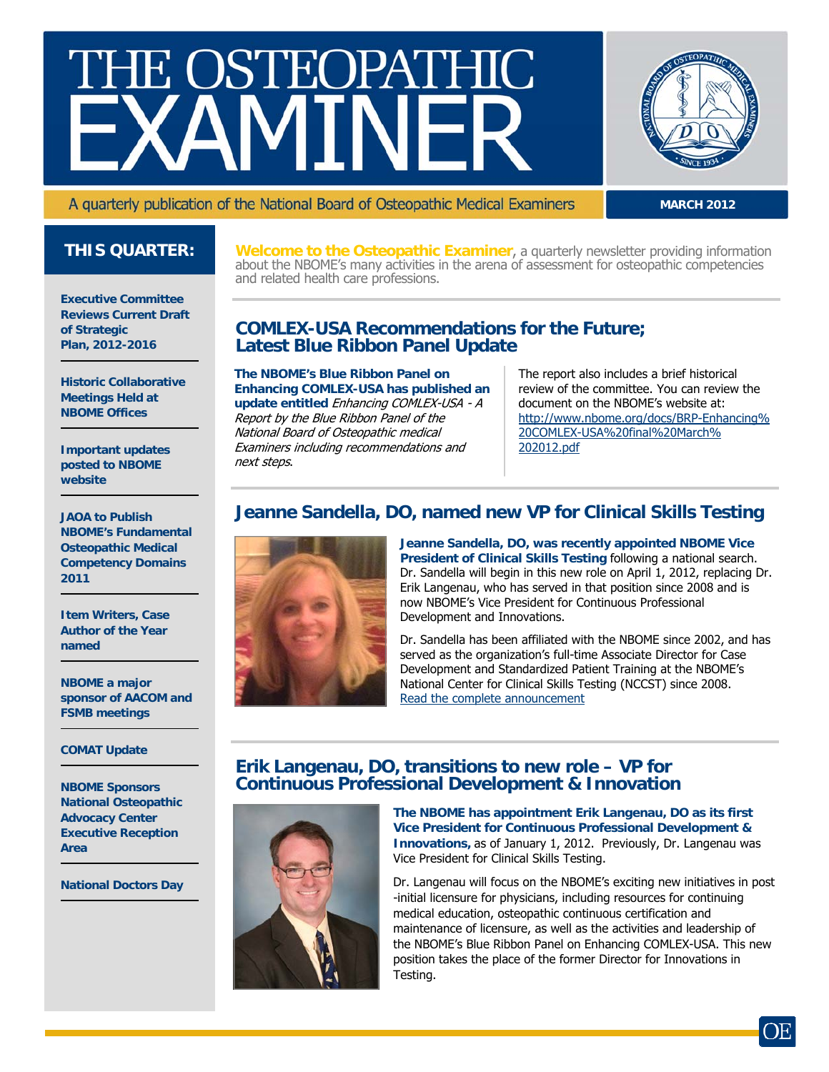# THE OSTEOPATHIC



**MARCH 2012**

A quarterly publication of the National Board of Osteopathic Medical Examiners

## **THIS QUARTER:**

**Executive Committee Reviews Current Draft of Strategic Plan, 2012-2016** 

**Historic Collaborative Meetings Held at NBOME Offices** 

**Important updates posted to NBOME website** 

**JAOA to Publish NBOME's Fundamental Osteopathic Medical Competency Domains 2011** 

**Item Writers, Case Author of the Year named** 

**NBOME a major sponsor of AACOM and FSMB meetings** 

#### **COMAT Update**

**NBOME Sponsors National Osteopathic Advocacy Center Executive Reception Area** 

**National Doctors Day** 

**Welcome to the Osteopathic Examiner**, a quarterly newsletter providing information about the NBOME's many activities in the arena of assessment for osteopathic competencies and related health care professions.

#### **COMLEX-USA Recommendations for the Future; Latest Blue Ribbon Panel Update**

**The NBOME's Blue Ribbon Panel on Enhancing COMLEX-USA has published an update entitled** Enhancing COMLEX-USA - A Report by the Blue Ribbon Panel of the National Board of Osteopathic medical Examiners including recommendations and next steps.

The report also includes a brief historical review of the committee. You can review the document on the NBOME's website at: [http://www.nbome.org/docs/BRP-Enhancing%](http://www.nbome.org/docs/BRP-Enhancing%20COMLEX-USA%20final%20March%202012.pdf) [20COMLEX-USA%20final%20March%](http://www.nbome.org/docs/BRP-Enhancing%20COMLEX-USA%20final%20March%202012.pdf) [202012.pdf](http://www.nbome.org/docs/BRP-Enhancing%20COMLEX-USA%20final%20March%202012.pdf)

## **Jeanne Sandella, DO, named new VP for Clinical Skills Testing**



**Jeanne Sandella, DO, was recently appointed NBOME Vice President of Clinical Skills Testing** following a national search. Dr. Sandella will begin in this new role on April 1, 2012, replacing Dr. Erik Langenau, who has served in that position since 2008 and is now NBOME's Vice President for Continuous Professional Development and Innovations.

Dr. Sandella has been affiliated with the NBOME since 2002, and has served as the organization's full-time Associate Director for Case Development and Standardized Patient Training at the NBOME's National Center for Clinical Skills Testing (NCCST) since 2008. [Read the complete announcement](http://www.nbome.org/docs/VPCST_Announcement.pdf)

#### **Erik Langenau, DO, transitions to new role – VP for Continuous Professional Development & Innovation**



**The NBOME has appointment Erik Langenau, DO as its first Vice President for Continuous Professional Development & Innovations,** as of January 1, 2012. Previously, Dr. Langenau was Vice President for Clinical Skills Testing.

Dr. Langenau will focus on the NBOME's exciting new initiatives in post -initial licensure for physicians, including resources for continuing medical education, osteopathic continuous certification and maintenance of licensure, as well as the activities and leadership of the NBOME's Blue Ribbon Panel on Enhancing COMLEX-USA. This new position takes the place of the former Director for Innovations in Testing.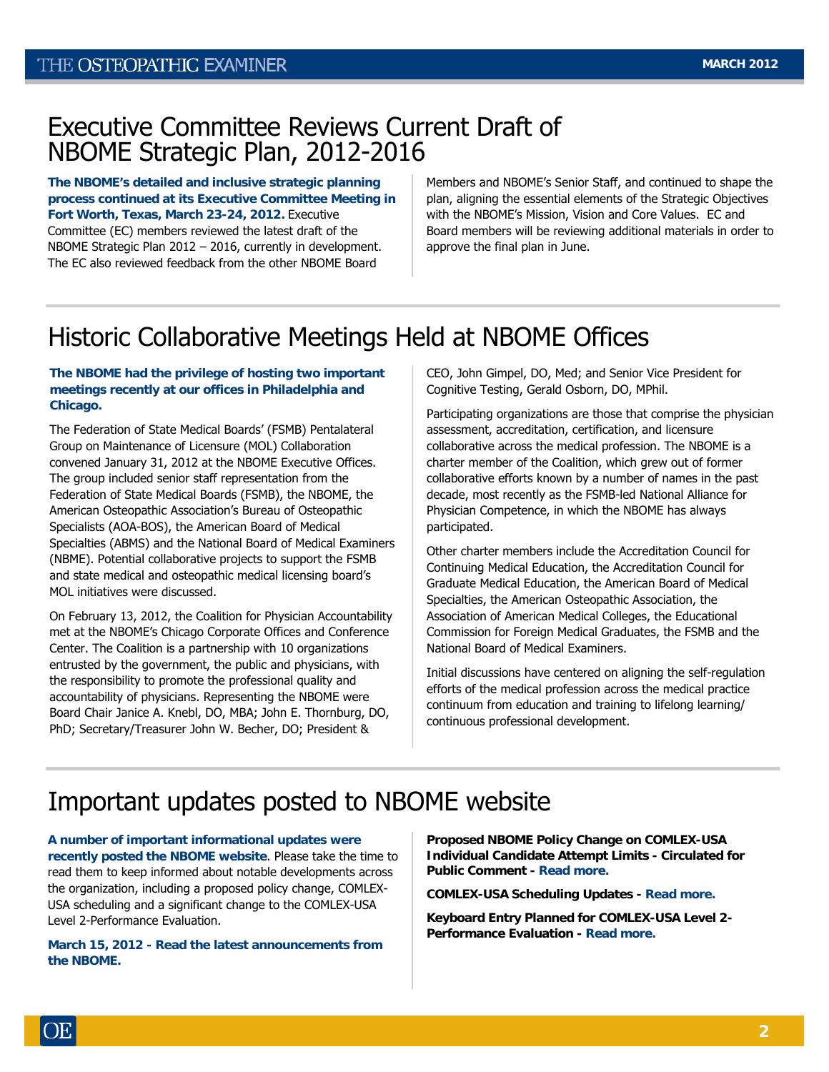## Executive Committee Reviews Current Draft of NBOME Strategic Plan, 2012-2016

**The NBOME's detailed and inclusive strategic planning process continued at its Executive Committee Meeting in Fort Worth, Texas, March 23-24, 2012.** Executive Committee (EC) members reviewed the latest draft of the NBOME Strategic Plan 2012 – 2016, currently in development. The EC also reviewed feedback from the other NBOME Board

Members and NBOME's Senior Staff, and continued to shape the plan, aligning the essential elements of the Strategic Objectives with the NBOME's Mission, Vision and Core Values. EC and Board members will be reviewing additional materials in order to approve the final plan in June.

# Historic Collaborative Meetings Held at NBOME Offices

#### **The NBOME had the privilege of hosting two important meetings recently at our offices in Philadelphia and Chicago.**

The Federation of State Medical Boards' (FSMB) Pentalateral Group on Maintenance of Licensure (MOL) Collaboration convened January 31, 2012 at the NBOME Executive Offices. The group included senior staff representation from the Federation of State Medical Boards (FSMB), the NBOME, the American Osteopathic Association's Bureau of Osteopathic Specialists (AOA-BOS), the American Board of Medical Specialties (ABMS) and the National Board of Medical Examiners (NBME). Potential collaborative projects to support the FSMB and state medical and osteopathic medical licensing board's MOL initiatives were discussed.

On February 13, 2012, the Coalition for Physician Accountability met at the NBOME's Chicago Corporate Offices and Conference Center. The Coalition is a partnership with 10 organizations entrusted by the government, the public and physicians, with the responsibility to promote the professional quality and accountability of physicians. Representing the NBOME were Board Chair Janice A. Knebl, DO, MBA; John E. Thornburg, DO, PhD; Secretary/Treasurer John W. Becher, DO; President &

CEO, John Gimpel, DO, Med; and Senior Vice President for Cognitive Testing, Gerald Osborn, DO, MPhil.

Participating organizations are those that comprise the physician assessment, accreditation, certification, and licensure collaborative across the medical profession. The NBOME is a charter member of the Coalition, which grew out of former collaborative efforts known by a number of names in the past decade, most recently as the FSMB-led National Alliance for Physician Competence, in which the NBOME has always participated.

Other charter members include the Accreditation Council for Continuing Medical Education, the Accreditation Council for Graduate Medical Education, the American Board of Medical Specialties, the American Osteopathic Association, the Association of American Medical Colleges, the Educational Commission for Foreign Medical Graduates, the FSMB and the National Board of Medical Examiners.

Initial discussions have centered on aligning the self-regulation efforts of the medical profession across the medical practice continuum from education and training to lifelong learning/ continuous professional development.

# Important updates posted to NBOME website

**A number of important informational updates were recently posted the NBOME website**. Please take the time to read them to keep informed about notable developments across the organization, including a proposed policy change, COMLEX-USA scheduling and a significant change to the COMLEX-USA Level 2-Performance Evaluation.

**March 15, 2012 - Read the latest announcements from the NBOME.** 

**Proposed NBOME Policy Change on COMLEX-USA Individual Candidate Attempt Limits - Circulated for Public Comment - [Read more.](http://www.nbome.org/docs/ATTEMPT%20LIMIT%20POLICY%20Website%20posting.pdf)**

**COMLEX-USA Scheduling Updates - [Read more.](http://www.nbome.org/docs/Scheduling%20Memo%202012.pdf)**

**Keyboard Entry Planned for COMLEX-USA Level 2- Performance Evaluation - [Read more.](http://www.nbome.org/docs/Keyboard%20Entry%20Website%20posting.pdf)**

)E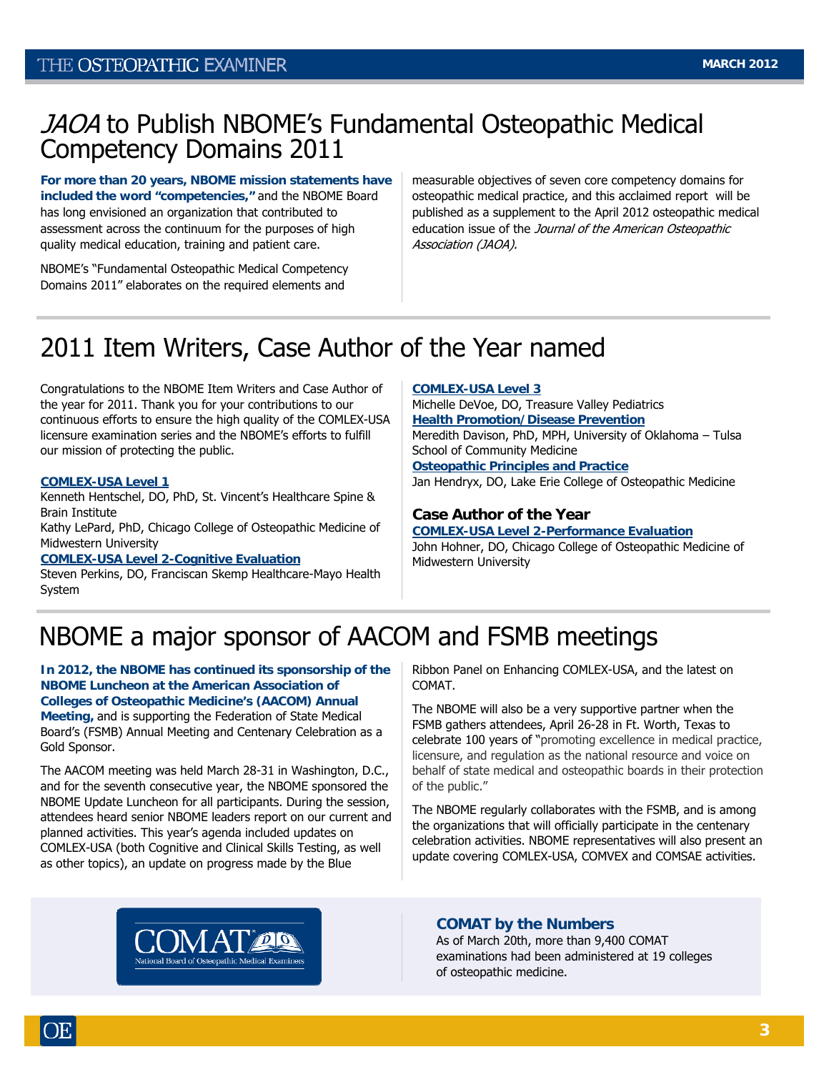## JAOA to Publish NBOME's Fundamental Osteopathic Medical Competency Domains 2011

**For more than 20 years, NBOME mission statements have included the word "competencies,"** and the NBOME Board has long envisioned an organization that contributed to assessment across the continuum for the purposes of high quality medical education, training and patient care.

NBOME's "Fundamental Osteopathic Medical Competency Domains 2011" elaborates on the required elements and

measurable objectives of seven core competency domains for osteopathic medical practice, and this acclaimed report will be published as a supplement to the April 2012 osteopathic medical education issue of the Journal of the American Osteopathic Association (JAOA).

# 2011 Item Writers, Case Author of the Year named

Congratulations to the NBOME Item Writers and Case Author of the year for 2011. Thank you for your contributions to our continuous efforts to ensure the high quality of the COMLEX-USA licensure examination series and the NBOME's efforts to fulfill our mission of protecting the public.

#### **COMLEX-USA Level 1**

Kenneth Hentschel, DO, PhD, St. Vincent's Healthcare Spine & Brain Institute

Kathy LePard, PhD, Chicago College of Osteopathic Medicine of Midwestern University

**COMLEX-USA Level 2-Cognitive Evaluation** 

Steven Perkins, DO, Franciscan Skemp Healthcare-Mayo Health System

#### **COMLEX-USA Level 3**

Michelle DeVoe, DO, Treasure Valley Pediatrics **Health Promotion/Disease Prevention** Meredith Davison, PhD, MPH, University of Oklahoma – Tulsa School of Community Medicine

**Osteopathic Principles and Practice** Jan Hendryx, DO, Lake Erie College of Osteopathic Medicine

#### **Case Author of the Year**

**COMLEX-USA Level 2-Performance Evaluation**  John Hohner, DO, Chicago College of Osteopathic Medicine of Midwestern University

# NBOME a major sponsor of AACOM and FSMB meetings

**In 2012, the NBOME has continued its sponsorship of the NBOME Luncheon at the American Association of Colleges of Osteopathic Medicine's (AACOM) Annual Meeting,** and is supporting the Federation of State Medical Board's (FSMB) Annual Meeting and Centenary Celebration as a Gold Sponsor.

The AACOM meeting was held March 28-31 in Washington, D.C., and for the seventh consecutive year, the NBOME sponsored the NBOME Update Luncheon for all participants. During the session, attendees heard senior NBOME leaders report on our current and planned activities. This year's agenda included updates on COMLEX-USA (both Cognitive and Clinical Skills Testing, as well as other topics), an update on progress made by the Blue

Ribbon Panel on Enhancing COMLEX-USA, and the latest on COMAT.

The NBOME will also be a very supportive partner when the FSMB gathers attendees, April 26-28 in Ft. Worth, Texas to celebrate 100 years of "promoting excellence in medical practice, licensure, and regulation as the national resource and voice on behalf of state medical and osteopathic boards in their protection of the public."

The NBOME regularly collaborates with the FSMB, and is among the organizations that will officially participate in the centenary celebration activities. NBOME representatives will also present an update covering COMLEX-USA, COMVEX and COMSAE activities.



#### **COMAT by the Numbers**

As of March 20th, more than 9,400 COMAT examinations had been administered at 19 colleges of osteopathic medicine.